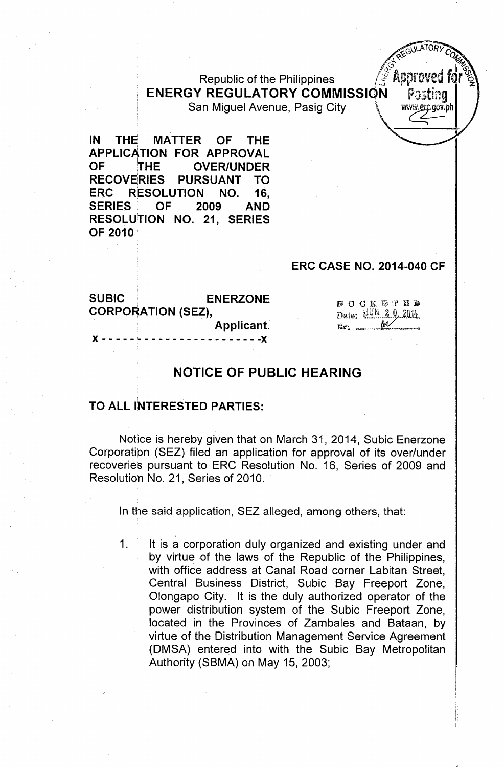Republic of the Philippines **ENERGY REGULATORY COMMISSION** San Miguel Avenue, Pasig City

IN THE MATTER OF THE APPLICATION FOR APPROVAL OF THE OVER/UNDER RECOVERIES PURSUANT TO ERC RESOLUTION NO. 16, SERIES OF 2009 AND RESOLUTION NO. 21, SERIES OF 2010

### ERC CASE NO. 2014-040 CF

Postina

www.<u>er</u>c.gov.ph

SUBIC ENERZONE **BOCKETED** CORPORATION (SEZ), Date: 441N 2 0, 2014 Applicant. )), the contribution of the contribution of the contribution of the contribution of  $\mathcal{F}(\mathcal{F})$ 

## NOTICE OF PUBLIC HEARING

### TO ALL INTERESTED PARTIES:

,

Notice is hereby given that on March 31, 2014, Subic Enerzone Corporation (SEZ) filed an application for approval of its over/under recoveries pursuant to ERC Resolution No. 16, Series of 2009 and Resolution No. 21, Series of 2010.

In the said application, SEZ alleged, among others, that:

1. It is a corporation duly organized and existing under and by virtue of the laws of the Republic of the Philippines, with office address at Canal Road corner Labitan Street, Central Business District, Subic Bay Freeport Zone, Olongapo City. It is the duly authorized operator of the power distribution system of the Subic Freeport Zone, located in the Provinces of Zambales and Bataan, by virtue of the Distribution Management Service Agreement (DMSA) entered into with the Subic Bay Metropolitan Authority (SBMA) on May 15, 2003;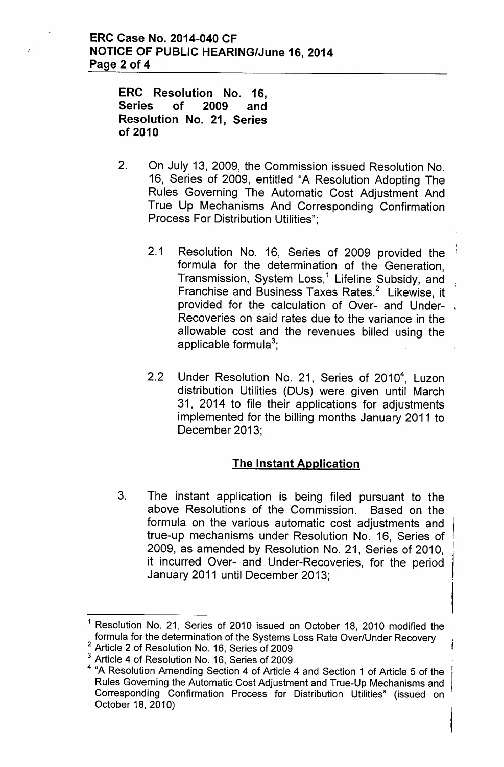ERC Resolution No. 16, Series of 2009 and Resolution No. 21, Series of 2010

- 2. On July 13, 2009, the Commission issued Resolution No. 16, Series of 2009, entitled "A Resolution Adopting The Rules Governing The Automatic Cost Adjustment And True Up Mechanisms And Corresponding Confirmation Process For Distribution Utilities";
	- 2.1 Resolution No. 16, Series of 2009 provided the formula for the determination of the Generation, Transmission, System Loss,<sup>1</sup> Lifeline Subsidy, and Franchise and Business Taxes Rates.<sup>2</sup> Likewise, it provided for the calculation of Over- and Under-Recoveries on said rates due to the variance in the allowable cost and the revenues billed using the applicable formula $^3$
	- 2.2 Under Resolution No. 21, Series of 2010<sup>4</sup>, Luzon distribution Utilities (DUs) were given until March 31, 2014 to file their applications for adjustments implemented for the billing months January 2011 to December 2013;

# The Instant Application

3. The instant application is being filed pursuant to the above Resolutions of the Commission. Based on the formula on the various automatic cost adjustments and true-up mechanisms under Resolution No. 16, Series of 2009, as amended by Resolution No. 21, Series of 2010, it incurred Over- and Under-Recoveries, for the period January 2011 until December 2013;

Resolution No. 21, Series of 2010 issued on October 18, 2010 modified the formula for the determination of the Systems Loss Rate Over/Under Recovery

<sup>2</sup> Article 2 of Resolution No. 16, Series of 2009

Article 4 of Resolution No. 16, Series of 2009

<sup>4</sup> "A Resolution Amending Section 4 of Article 4 and Section 1 of Article 5 of the Rules Governing the Automatic Cost Adjustment and True-Up Mechanisms and Corresponding Confirmation Process for Distribution Utilities" (issued on October 18, 2010)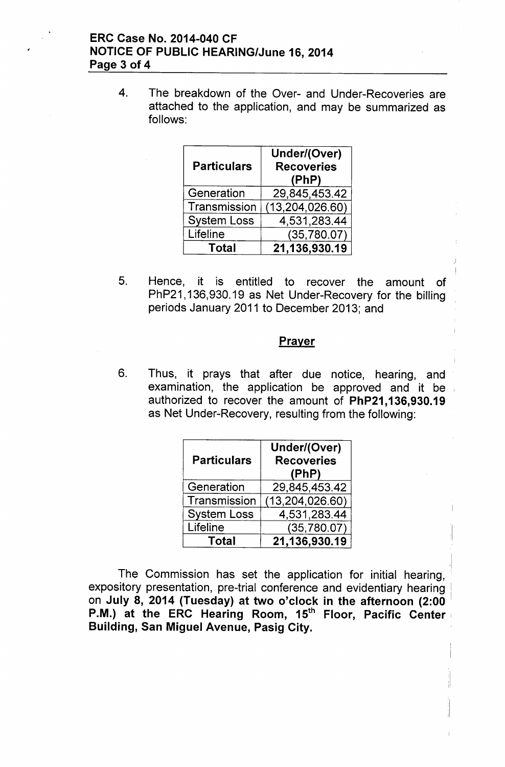4. The breakdown of the Over- and Under-Recoveries are attached to the application, and may be summarized as follows:

| <b>Particulars</b> | Under/(Over)<br><b>Recoveries</b><br>(PhP) |
|--------------------|--------------------------------------------|
| Generation         | 29,845,453.42                              |
| Transmission       | (13, 204, 026.60)                          |
| <b>System Loss</b> | 4,531,283.44                               |
| Lifeline           | (35,780.07)                                |
| Total              | 21,136,930.19                              |

5. Hence, it is entitled to recover the amount of PhP21,136,930.19 as Net Under-Recovery for the billing periods January 2011 to December 2013; and

#### Prayer

6. Thus, it prays that after due notice, hearing, and examination, the application be approved and it be authorized to recover the amount of PhP21, 136,930.19 as Net Under-Recovery, resulting from the following:

| <b>Particulars</b> | Under/(Over)<br><b>Recoveries</b><br>(PhP) |
|--------------------|--------------------------------------------|
| Generation         | 29,845,453.42                              |
| Transmission       | (13, 204, 026.60)                          |
| <b>System Loss</b> | 4,531,283.44                               |
| Lifeline           | (35, 780.07)                               |
| Total              | 21,136,930.19                              |

The Commission has set the application for initial hearing. expository presentation, pre-trial conference and evidentiary hearing on July 8, 2014 (Tuesday) at two o'clock in the afternoon (2:00 P.M.) at the ERC Hearing Room, 15<sup>th</sup> Floor, Pacific Center Building, San Miguel Avenue, Pasig City.

 $\cdot$